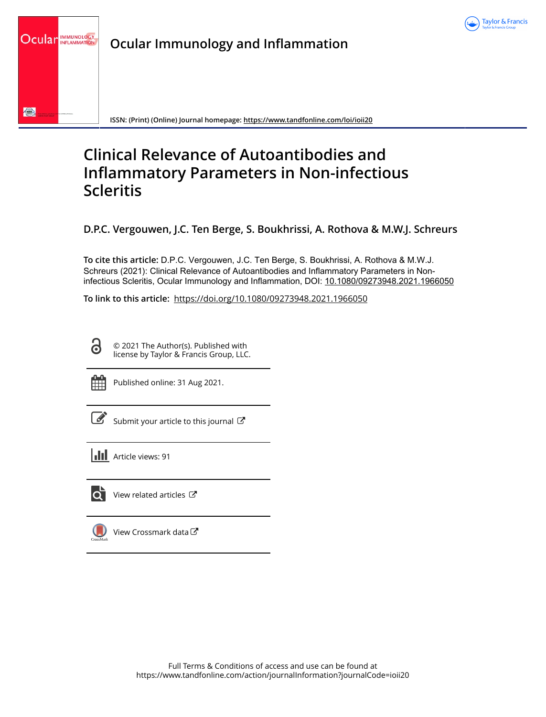

**Ocular Immunology and Inflammation**



**ISSN: (Print) (Online) Journal homepage:<https://www.tandfonline.com/loi/ioii20>**

# **Clinical Relevance of Autoantibodies and Inflammatory Parameters in Non-infectious Scleritis**

**D.P.C. Vergouwen, J.C. Ten Berge, S. Boukhrissi, A. Rothova & M.W.J. Schreurs**

**To cite this article:** D.P.C. Vergouwen, J.C. Ten Berge, S. Boukhrissi, A. Rothova & M.W.J. Schreurs (2021): Clinical Relevance of Autoantibodies and Inflammatory Parameters in Noninfectious Scleritis, Ocular Immunology and Inflammation, DOI: [10.1080/09273948.2021.1966050](https://www.tandfonline.com/action/showCitFormats?doi=10.1080/09273948.2021.1966050)

**To link to this article:** <https://doi.org/10.1080/09273948.2021.1966050>

© 2021 The Author(s). Published with license by Taylor & Francis Group, LLC.

 $\bullet$ 

Published online: 31 Aug 2021.

[Submit your article to this journal](https://www.tandfonline.com/action/authorSubmission?journalCode=ioii20&show=instructions)  $\mathbb{Z}$ 

**III** Article views: 91



 $\bullet$  [View related articles](https://www.tandfonline.com/doi/mlt/10.1080/09273948.2021.1966050)  $\circ$ 

[View Crossmark data](http://crossmark.crossref.org/dialog/?doi=10.1080/09273948.2021.1966050&domain=pdf&date_stamp=2021-08-31) $\mathbb{Z}$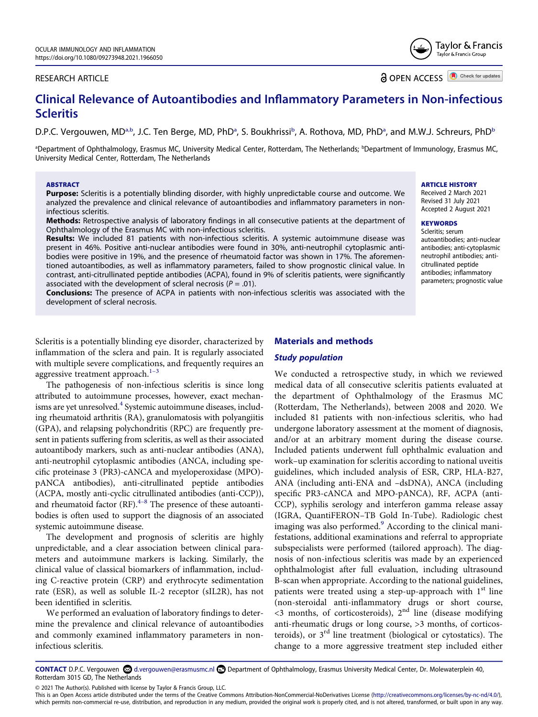#### RESEARCH ARTICLE

**a** OPEN ACCESS **O** Check for updates

Taylor & Francis Taylor & Francis Group

# **Clinical Relevance of Autoantibodies and Inflammatory Parameters in Non-infectious Scleritis**

D.P.C. Vergouwen, MD<sup>a,[b](#page-1-0)</sup>, J.C. Ten Berge, MD, PhD<sup>[a](#page-1-0)</sup>, S. Boukhrissi<sup>b</sup>, A. Rothova, MD, PhD<sup>a</sup>, and M.W.J. Schreurs, PhD<sup>b</sup>

<span id="page-1-0"></span><sup>a</sup>Department of Ophthalmology, Erasmus MC, University Medical Center, Rotterdam, The Netherlands; <sup>b</sup>Department of Immunology, Erasmus MC, University Medical Center, Rotterdam, The Netherlands

#### **ABSTRACT**

**Purpose:** Scleritis is a potentially blinding disorder, with highly unpredictable course and outcome. We analyzed the prevalence and clinical relevance of autoantibodies and inflammatory parameters in noninfectious scleritis.

**Methods:** Retrospective analysis of laboratory findings in all consecutive patients at the department of Ophthalmology of the Erasmus MC with non-infectious scleritis.

**Results:** We included 81 patients with non-infectious scleritis. A systemic autoimmune disease was present in 46%. Positive anti-nuclear antibodies were found in 30%, anti-neutrophil cytoplasmic antibodies were positive in 19%, and the presence of rheumatoid factor was shown in 17%. The aforementioned autoantibodies, as well as inflammatory parameters, failed to show prognostic clinical value. In contrast, anti-citrullinated peptide antibodies (ACPA), found in 9% of scleritis patients, were significantly associated with the development of scleral necrosis  $(P = .01)$ .

**Conclusions:** The presence of ACPA in patients with non-infectious scleritis was associated with the development of scleral necrosis.

#### **ARTICLE HISTORY**

Received 2 March 2021 Revised 31 July 2021 Accepted 2 August 2021

# **KEYWORDS**

Scleritis; serum autoantibodies; anti-nuclear antibodies; anti-cytoplasmic neutrophil antibodies; anticitrullinated peptide antibodies; inflammatory parameters; prognostic value

Scleritis is a potentially blinding eye disorder, characterized by inflammation of the sclera and pain. It is regularly associated with multiple severe complications, and frequently requires an aggressive treatment approach. $1-3$ 

<span id="page-1-1"></span>The pathogenesis of non-infectious scleritis is since long attributed to autoimmune processes, however, exact mechanisms are yet unresolved.<sup>4</sup> Systemic autoimmune diseases, including rheumatoid arthritis (RA), granulomatosis with polyangiitis (GPA), and relapsing polychondritis (RPC) are frequently present in patients suffering from scleritis, as well as their associated autoantibody markers, such as anti-nuclear antibodies (ANA), anti-neutrophil cytoplasmic antibodies (ANCA, including specific proteinase 3 (PR3)-cANCA and myeloperoxidase (MPO) pANCA antibodies), anti-citrullinated peptide antibodies (ACPA, mostly anti-cyclic citrullinated antibodies (anti-CCP)), and rheumatoid factor  $(RF)$ .<sup>4–8</sup> The presence of these autoantibodies is often used to support the diagnosis of an associated systemic autoimmune disease.

<span id="page-1-2"></span>The development and prognosis of scleritis are highly unpredictable, and a clear association between clinical parameters and autoimmune markers is lacking. Similarly, the clinical value of classical biomarkers of inflammation, including C-reactive protein (CRP) and erythrocyte sedimentation rate (ESR), as well as soluble IL-2 receptor (sIL2R), has not been identified in scleritis.

We performed an evaluation of laboratory findings to determine the prevalence and clinical relevance of autoantibodies and commonly examined inflammatory parameters in noninfectious scleritis.

#### **Materials and methods**

#### *Study population*

<span id="page-1-3"></span>We conducted a retrospective study, in which we reviewed medical data of all consecutive scleritis patients evaluated at the department of Ophthalmology of the Erasmus MC (Rotterdam, The Netherlands), between 2008 and 2020. We included 81 patients with non-infectious scleritis, who had undergone laboratory assessment at the moment of diagnosis, and/or at an arbitrary moment during the disease course. Included patients underwent full ophthalmic evaluation and work–up examination for scleritis according to national uveitis guidelines, which included analysis of ESR, CRP, HLA-B27, ANA (including anti-ENA and –dsDNA), ANCA (including specific PR3-cANCA and MPO-pANCA), RF, ACPA (anti-CCP), syphilis serology and interferon gamma release assay (IGRA, QuantiFERON–TB Gold In-Tube). Radiologic chest imaging was also performed.<sup>9</sup> According to the clinical manifestations, additional examinations and referral to appropriate subspecialists were performed (tailored approach). The diagnosis of non-infectious scleritis was made by an experienced ophthalmologist after full evaluation, including ultrasound B-scan when appropriate. According to the national guidelines, patients were treated using a step-up-approach with  $1<sup>st</sup>$  line (non-steroidal anti-inflammatory drugs or short course,  $\leq$ 3 months, of corticosteroids),  $2<sup>nd</sup>$  line (disease modifying anti-rheumatic drugs or long course, >3 months, of corticosteroids), or  $3<sup>rd</sup>$  line treatment (biological or cytostatics). The change to a more aggressive treatment step included either

CONTACT D.P.C. Vergouwen **©** d.vergouwen@erasmusmc.nl **□** Department of Ophthalmology, Erasmus University Medical Center, Dr. Molewaterplein 40, Rotterdam 3015 GD, The Netherlands

© 2021 The Author(s). Published with license by Taylor & Francis Group, LLC.

This is an Open Access article distributed under the terms of the Creative Commons Attribution-NonCommercial-NoDerivatives License (http://creativecommons.org/licenses/by-nc-nd/4.0/), which permits non-commercial re-use, distribution, and reproduction in any medium, provided the original work is properly cited, and is not altered, transformed, or built upon in any way.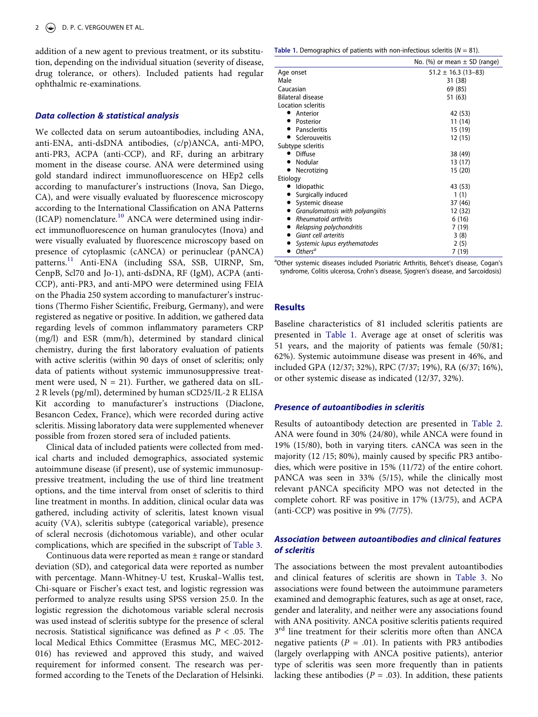addition of a new agent to previous treatment, or its substitution, depending on the individual situation (severity of disease, drug tolerance, or others). Included patients had regular ophthalmic re-examinations.

#### *Data collection & statistical analysis*

<span id="page-2-2"></span><span id="page-2-1"></span>We collected data on serum autoantibodies, including ANA, anti-ENA, anti-dsDNA antibodies, (c/p)ANCA, anti-MPO, anti-PR3, ACPA (anti-CCP), and RF, during an arbitrary moment in the disease course. ANA were determined using gold standard indirect immunofluorescence on HEp2 cells according to manufacturer's instructions (Inova, San Diego, CA), and were visually evaluated by fluorescence microscopy according to the International Classification on ANA Patterns  $(ICAP)$  nomenclature.<sup>[10](#page-5-3)</sup> ANCA were determined using indirect immunofluorescence on human granulocytes (Inova) and were visually evaluated by fluorescence microscopy based on presence of cytoplasmic (cANCA) or perinuclear (pANCA) patterns.<sup>11</sup> Anti-ENA (including SSA, SSB, UIRNP, Sm, CenpB, Scl70 and Jo-1), anti-dsDNA, RF (IgM), ACPA (anti-CCP), anti-PR3, and anti-MPO were determined using FEIA on the Phadia 250 system according to manufacturer's instructions (Thermo Fisher Scientific, Freiburg, Germany), and were registered as negative or positive. In addition, we gathered data regarding levels of common inflammatory parameters CRP (mg/l) and ESR (mm/h), determined by standard clinical chemistry, during the first laboratory evaluation of patients with active scleritis (within 90 days of onset of scleritis; only data of patients without systemic immunosuppressive treatment were used,  $N = 21$ ). Further, we gathered data on sIL-2 R levels (pg/ml), determined by human sCD25/IL-2 R ELISA Kit according to manufacturer's instructions (Diaclone, Besancon Cedex, France), which were recorded during active scleritis. Missing laboratory data were supplemented whenever possible from frozen stored sera of included patients.

Clinical data of included patients were collected from medical charts and included demographics, associated systemic autoimmune disease (if present), use of systemic immunosuppressive treatment, including the use of third line treatment options, and the time interval from onset of scleritis to third line treatment in months. In addition, clinical ocular data was gathered, including activity of scleritis, latest known visual acuity (VA), scleritis subtype (categorical variable), presence of scleral necrosis (dichotomous variable), and other ocular complications, which are specified in the subscript of [Table 3](#page-4-0).

Continuous data were reported as mean  $\pm$  range or standard deviation (SD), and categorical data were reported as number with percentage. Mann-Whitney-U test, Kruskal–Wallis test, Chi-square or Fischer's exact test, and logistic regression was performed to analyze results using SPSS version 25.0. In the logistic regression the dichotomous variable scleral necrosis was used instead of scleritis subtype for the presence of scleral necrosis. Statistical significance was defined as *P* < .05. The local Medical Ethics Committee (Erasmus MC, MEC-2012- 016) has reviewed and approved this study, and waived requirement for informed consent. The research was performed according to the Tenets of the Declaration of Helsinki.

<span id="page-2-0"></span>**Table 1.** Demographics of patients with non-infectious scleritis ( $N = 81$ ).

|                                  | No. (%) or mean $\pm$ SD (range) |
|----------------------------------|----------------------------------|
| Age onset                        | $51.2 \pm 16.3$ (13-83)          |
| Male                             | 31 (38)                          |
| Caucasian                        | 69 (85)                          |
| Bilateral disease                | 51 (63)                          |
| Location scleritis               |                                  |
| Anterior                         | 42 (53)                          |
| Posterior                        | 11 (14)                          |
| Panscleritis                     | 15 (19)                          |
| Sclerouveitis                    | 12 (15)                          |
| Subtype scleritis                |                                  |
| <b>Diffuse</b><br>D              | 38 (49)                          |
| Nodular                          | 13 (17)                          |
| Necrotizing                      | 15 (20)                          |
| Etiology                         |                                  |
| <b>Idiopathic</b>                | 43 (53)                          |
| Surgically induced               | 1(1)                             |
| Systemic disease                 | 37 (46)                          |
| Granulomatosis with polyangiitis | 12 (32)                          |
| Rheumatoid arthritis             | 6(16)                            |
| Relapsing polychondritis         | 7(19)                            |
| Giant cell arteritis             | 3(8)                             |
| Systemic lupus erythematodes     | 2(5)                             |
| Others <sup>a</sup>              | 7 (19)                           |

<sup>a</sup>Other systemic diseases included Psoriatric Arthritis, Behcet's disease, Cogan's syndrome, Colitis ulcerosa, Crohn's disease, Sjogren's disease, and Sarcoidosis)

#### **Results**

Baseline characteristics of 81 included scleritis patients are presented in [Table 1.](#page-2-0) Average age at onset of scleritis was 51 years, and the majority of patients was female (50/81; 62%). Systemic autoimmune disease was present in 46%, and included GPA (12/37; 32%), RPC (7/37; 19%), RA (6/37; 16%), or other systemic disease as indicated (12/37, 32%).

### *Presence of autoantibodies in scleritis*

Results of autoantibody detection are presented in [Table 2.](#page-3-0) ANA were found in 30% (24/80), while ANCA were found in 19% (15/80), both in varying titers. cANCA was seen in the majority (12 /15; 80%), mainly caused by specific PR3 antibodies, which were positive in 15% (11/72) of the entire cohort. pANCA was seen in 33% (5/15), while the clinically most relevant pANCA specificity MPO was not detected in the complete cohort. RF was positive in 17% (13/75), and ACPA (anti-CCP) was positive in 9% (7/75).

## *Association between autoantibodies and clinical features of scleritis*

The associations between the most prevalent autoantibodies and clinical features of scleritis are shown in [Table 3](#page-4-0). No associations were found between the autoimmune parameters examined and demographic features, such as age at onset, race, gender and laterality, and neither were any associations found with ANA positivity. ANCA positive scleritis patients required 3<sup>rd</sup> line treatment for their scleritis more often than ANCA negative patients  $(P = .01)$ . In patients with PR3 antibodies (largely overlapping with ANCA positive patients), anterior type of scleritis was seen more frequently than in patients lacking these antibodies ( $P = .03$ ). In addition, these patients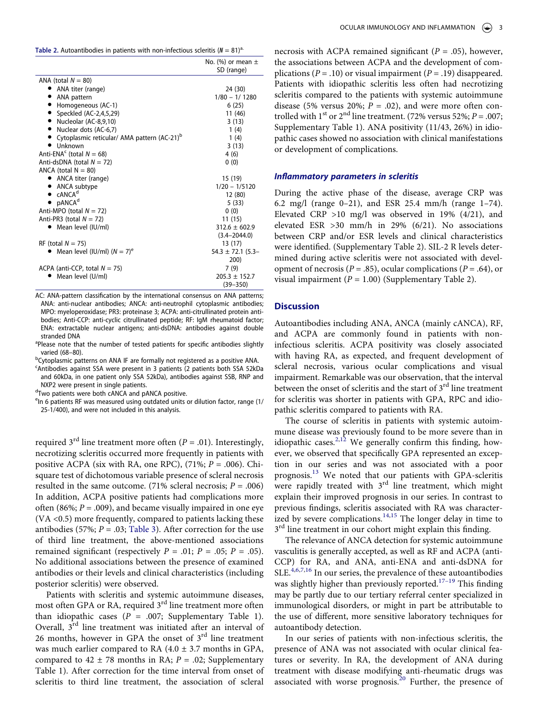<span id="page-3-0"></span>

| <b>Table 2.</b> Autoantibodies in patients with non-infectious scleritis ( $N = 81$ ) <sup>a.</sup> |  |  |  |  |  |  |  |  |  |  |  |  |
|-----------------------------------------------------------------------------------------------------|--|--|--|--|--|--|--|--|--|--|--|--|
|-----------------------------------------------------------------------------------------------------|--|--|--|--|--|--|--|--|--|--|--|--|

|                                                           | No. (%) or mean $\pm$ |
|-----------------------------------------------------------|-----------------------|
|                                                           | SD (range)            |
| ANA (total $N = 80$ )                                     |                       |
| • ANA titer (range)                                       | 24 (30)               |
| • ANA pattern                                             | $1/80 - 1/1280$       |
| • Homogeneous (AC-1)                                      | 6(25)                 |
| Speckled (AC-2,4,5,29)                                    | 11 (46)               |
| • Nucleolar (AC-8,9,10)                                   | 3(13)                 |
| • Nuclear dots (AC-6,7)                                   | 1(4)                  |
| • Cytoplasmic reticular/ AMA pattern (AC-21) <sup>b</sup> | 1(4)                  |
| $\bullet$ Unknown                                         | 3(13)                 |
| Anti-ENA <sup>c</sup> (total $N = 68$ )                   | 4(6)                  |
| Anti-dsDNA (total $N = 72$ )                              | 0(0)                  |
| ANCA (total $N = 80$ )                                    |                       |
| • ANCA titer (range)                                      | 15 (19)               |
| • ANCA subtype                                            | $1/20 - 1/5120$       |
| $\bullet$ CANCA <sup>d</sup>                              | 12 (80)               |
| $\bullet$ pANCA <sup>d</sup>                              | 5(33)                 |
| Anti-MPO (total $N = 72$ )                                | 0(0)                  |
| Anti-PR3 (total $N = 72$ )                                | 11(15)                |
| Mean level (IU/ml)                                        | $312.6 \pm 602.9$     |
|                                                           | $(3.4 - 2044.0)$      |
| RF (total $N = 75$ )                                      | 13 (17)               |
| Mean level (IU/ml) $(N = 7)^e$                            | $54.3 \pm 72.1$ (5.3- |
|                                                           | 200)                  |
| ACPA (anti-CCP, total $N = 75$ )                          | 7(9)                  |
| Mean level (U/ml)                                         | $205.3 \pm 152.7$     |
|                                                           | $(39 - 350)$          |

AC: ANA-pattern classification by the international consensus on ANA patterns; ANA: anti-nuclear antibodies; ANCA: anti-neutrophil cytoplasmic antibodies; MPO: myeloperoxidase; PR3: proteinase 3; ACPA: anti-citrullinated protein antibodies; Anti-CCP: anti-cyclic citrullinated peptide; RF: IgM rheumatoid factor; ENA: extractable nuclear antigens; anti-dsDNA: antibodies against double stranded DNA

<sup>a</sup>Please note that the number of tested patients for specific antibodies slightly varied (68–80).<br><sup>b</sup>Cytonlasmic pati

 $^{\circ}$ Cytoplasmic patterns on ANA IF are formally not registered as a positive ANA.<br>Santibodies against SSA were present in 3 patients (2 patients both SSA 52kD

Antibodies against SSA were present in 3 patients (2 patients both SSA 52kDa and 60kDa, in one patient only SSA 52kDa), antibodies against SSB, RNP and NXP2 were present in single patients.<br> $d_{\text{Two patient were both cAMCA and nA}}$ 

<sup>a</sup>Two patients were both cANCA and pANCA positive.<br><sup>e</sup>In 6 patients PE was moasured using outdated units o

<sup>e</sup>ln 6 patients RF was measured using outdated units or dilution factor, range (1/ 25-1/400), and were not included in this analysis.

required  $3<sup>rd</sup>$  line treatment more often ( $P = .01$ ). Interestingly, necrotizing scleritis occurred more frequently in patients with positive ACPA (six with RA, one RPC), (71%; *P* = .006). Chisquare test of dichotomous variable presence of scleral necrosis resulted in the same outcome. (71% scleral necrosis;  $P = .006$ ) In addition, ACPA positive patients had complications more often (86%;  $P = .009$ ), and became visually impaired in one eye (VA <0.5) more frequently, compared to patients lacking these antibodies (57%;  $P = .03$ ; [Table 3](#page-4-0)). After correction for the use of third line treatment, the above-mentioned associations remained significant (respectively  $P = .01$ ;  $P = .05$ ;  $P = .05$ ). No additional associations between the presence of examined antibodies or their levels and clinical characteristics (including posterior scleritis) were observed.

Patients with scleritis and systemic autoimmune diseases, most often GPA or RA, required 3<sup>rd</sup> line treatment more often than idiopathic cases  $(P = .007;$  Supplementary Table 1). Overall,  $3<sup>rd</sup>$  line treatment was initiated after an interval of 26 months, however in GPA the onset of  $3<sup>rd</sup>$  line treatment was much earlier compared to RA  $(4.0 \pm 3.7 \text{ months in GPA})$ , compared to  $42 \pm 78$  months in RA;  $P = .02$ ; Supplementary Table 1). After correction for the time interval from onset of scleritis to third line treatment, the association of scleral

necrosis with ACPA remained significant (*P* = .05), however, the associations between ACPA and the development of complications (*P* = .10) or visual impairment (*P* = .19) disappeared. Patients with idiopathic scleritis less often had necrotizing scleritis compared to the patients with systemic autoimmune disease (5% versus 20%;  $P = .02$ ), and were more often controlled with 1<sup>st</sup> or 2<sup>nd</sup> line treatment. (72% versus 52%;  $P = .007$ ; Supplementary Table 1). ANA positivity (11/43, 26%) in idiopathic cases showed no association with clinical manifestations or development of complications.

#### *Inflammatory parameters in scleritis*

During the active phase of the disease, average CRP was 6.2 mg/l (range 0–21), and ESR 25.4 mm/h (range 1–74). Elevated CRP >10 mg/l was observed in 19% (4/21), and elevated ESR >30 mm/h in 29% (6/21). No associations between CRP and/or ESR levels and clinical characteristics were identified. (Supplementary Table 2). SIL-2 R levels determined during active scleritis were not associated with development of necrosis ( $P = .85$ ), ocular complications ( $P = .64$ ), or visual impairment  $(P = 1.00)$  (Supplementary Table 2).

#### **Discussion**

Autoantibodies including ANA, ANCA (mainly cANCA), RF, and ACPA are commonly found in patients with noninfectious scleritis. ACPA positivity was closely associated with having RA, as expected, and frequent development of scleral necrosis, various ocular complications and visual impairment. Remarkable was our observation, that the interval between the onset of scleritis and the start of  $3<sup>rd</sup>$  line treatment for scleritis was shorter in patients with GPA, RPC and idiopathic scleritis compared to patients with RA.

<span id="page-3-3"></span><span id="page-3-1"></span>The course of scleritis in patients with systemic autoimmune disease was previously found to be more severe than in idiopathic cases.<sup>[2,](#page-5-5)12</sup> We generally confirm this finding, however, we observed that specifically GPA represented an exception in our series and was not associated with a poor prognosis.<sup>13</sup> We noted that our patients with GPA-scleritis were rapidly treated with  $3<sup>rd</sup>$  line treatment, which might explain their improved prognosis in our series. In contrast to previous findings, scleritis associated with RA was characterized by severe complications. $14,15$  $14,15$  The longer delay in time to  $3<sup>rd</sup>$  line treatment in our cohort might explain this finding.

<span id="page-3-5"></span><span id="page-3-4"></span><span id="page-3-2"></span>The relevance of ANCA detection for systemic autoimmune vasculitis is generally accepted, as well as RF and ACPA (anti-CCP) for RA, and ANA, anti-ENA and anti-dsDNA for SLE. $4,6,7,16$  $4,6,7,16$  $4,6,7,16$  $4,6,7,16$  $4,6,7,16$  In our series, the prevalence of these autoantibodies was slightly higher than previously reported.<sup>17-19</sup> This finding may be partly due to our tertiary referral center specialized in immunological disorders, or might in part be attributable to the use of different, more sensitive laboratory techniques for autoantibody detection.

<span id="page-3-6"></span>In our series of patients with non-infectious scleritis, the presence of ANA was not associated with ocular clinical features or severity. In RA, the development of ANA during treatment with disease modifying anti-rheumatic drugs was associated with worse prognosis. $20$  Further, the presence of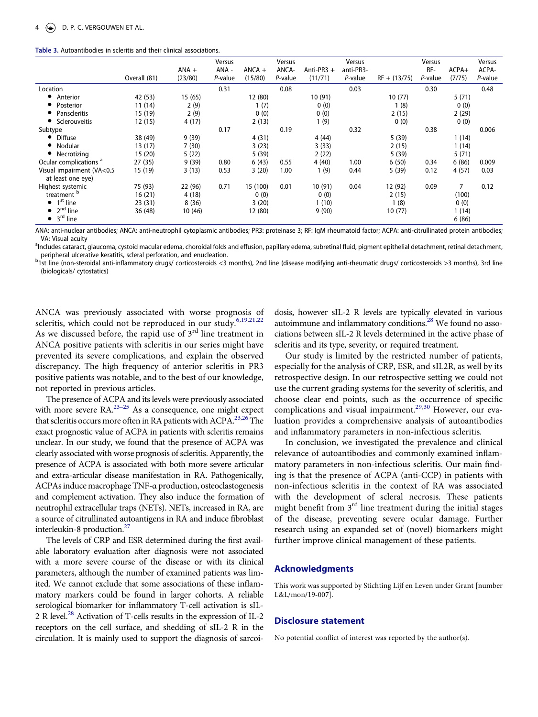<span id="page-4-0"></span>

| Table 3. Autoantibodies in scleritis and their clinical associations. |
|-----------------------------------------------------------------------|
|-----------------------------------------------------------------------|

|                                                | Overall (81) | $ANA +$<br>(23/80) | Versus<br>ANA -<br>P-value | $ANCA +$<br>(15/80) | Versus<br>ANCA-<br>P-value | Anti-PR3 $+$<br>(11/71) | Versus<br>anti-PR3-<br>P-value | $RF + (13/75)$ | Versus<br>RF-<br>P-value | $ACPA+$<br>(7/75) | Versus<br>ACPA-<br>P-value |
|------------------------------------------------|--------------|--------------------|----------------------------|---------------------|----------------------------|-------------------------|--------------------------------|----------------|--------------------------|-------------------|----------------------------|
| Location                                       |              |                    | 0.31                       |                     | 0.08                       |                         | 0.03                           |                | 0.30                     |                   | 0.48                       |
| Anterior<br>$\bullet$                          | 42 (53)      | 15(65)             |                            | 12 (80)             |                            | 10(91)                  |                                | 10(77)         |                          | 5(71)             |                            |
| Posterior<br>$\bullet$                         | 11 (14)      | 2(9)               |                            | 1(7)                |                            | 0(0)                    |                                | 1(8)           |                          | 0(0)              |                            |
| Panscleritis<br>$\bullet$                      | 15 (19)      | 2(9)               |                            | 0(0)                |                            | 0(0)                    |                                | 2(15)          |                          | 2(29)             |                            |
| Sclerouveitis                                  | 12(15)       | 4 (17)             |                            | 2(13)               |                            | 1(9)                    |                                | 0(0)           |                          | 0(0)              |                            |
| Subtype                                        |              |                    | 0.17                       |                     | 0.19                       |                         | 0.32                           |                | 0.38                     |                   | 0.006                      |
| <b>Diffuse</b><br>$\bullet$                    | 38 (49)      | 9(39)              |                            | 4(31)               |                            | 4(44)                   |                                | 5(39)          |                          | 1(14)             |                            |
| Nodular<br>$\bullet$                           | 13(17)       | 7(30)              |                            | 3(23)               |                            | 3(33)                   |                                | 2(15)          |                          | 1(14)             |                            |
| Necrotizing                                    | 15(20)       | 5(22)              |                            | 5(39)               |                            | 2(22)                   |                                | 5(39)          |                          | 5(71)             |                            |
| Ocular complications <sup>a</sup>              | 27(35)       | 9(39)              | 0.80                       | 6(43)               | 0.55                       | 4(40)                   | 1.00                           | 6(50)          | 0.34                     | 6(86)             | 0.009                      |
| Visual impairment (VA<0.5<br>at least one eye) | 15 (19)      | 3(13)              | 0.53                       | 3(20)               | 1.00                       | 1(9)                    | 0.44                           | 5(39)          | 0.12                     | 4(57)             | 0.03                       |
| Highest systemic                               | 75 (93)      | 22 (96)            | 0.71                       | 15 (100)            | 0.01                       | 10 (91)                 | 0.04                           | 12 (92)        | 0.09                     | 7                 | 0.12                       |
| treatment <sup>b</sup>                         | 16(21)       | 4(18)              |                            | 0(0)                |                            | 0(0)                    |                                | 2(15)          |                          | (100)             |                            |
| $\bullet$ 1 <sup>st</sup> line                 | 23(31)       | 8(36)              |                            | 3(20)               |                            | 1(10)                   |                                | 1(8)           |                          | 0(0)              |                            |
| $\bullet$ 2 <sup>nd</sup> line                 | 36 (48)      | 10(46)             |                            | 12 (80)             |                            | 9(90)                   |                                | 10(77)         |                          | 1(14)             |                            |
| $\bullet$ 3 <sup>rd</sup> line                 |              |                    |                            |                     |                            |                         |                                |                |                          | 6(86)             |                            |

ANA: anti-nuclear antibodies; ANCA: anti-neutrophil cytoplasmic antibodies; PR3: proteinase 3; RF: IgM rheumatoid factor; ACPA: anti-citrullinated protein antibodies; VA: Visual acuity<br><sup>a</sup>Includes cataract, glaucoma, cystoid macular edema, choroidal folds and effusion, papillary edema, subretinal fluid, pigment epithelial detachment, retinal detachment,

peripheral ulcerative keratitis, scleral perforation, and enucleation.

 $^{\rm b}$ 1st line (non-steroidal anti-inflammatory drugs/ corticosteroids <3 months), 2nd line (disease modifying anti-rheumatic drugs/ corticosteroids >3 months), 3rd line (biologicals/ cytostatics)

<span id="page-4-1"></span>ANCA was previously associated with worse prognosis of scleritis, which could not be reproduced in our study.<sup>[6](#page-5-10),[19](#page-5-15),[21](#page-5-16),[22](#page-5-17)</sup> As we discussed before, the rapid use of  $3<sup>rd</sup>$  line treatment in ANCA positive patients with scleritis in our series might have prevented its severe complications, and explain the observed discrepancy. The high frequency of anterior scleritis in PR3 positive patients was notable, and to the best of our knowledge, not reported in previous articles.

<span id="page-4-2"></span>The presence of ACPA and its levels were previously associated with more severe RA.<sup>23-25</sup> As a consequence, one might expect that scleritis occurs more often in RA patients with ACPA.<sup>[23,](#page-5-18)26</sup> The exact prognostic value of ACPA in patients with scleritis remains unclear. In our study, we found that the presence of ACPA was clearly associated with worse prognosis of scleritis. Apparently, the presence of ACPA is associated with both more severe articular and extra-articular disease manifestation in RA. Pathogenically, ACPAs induce macrophage TNF-α production, osteoclastogenesis and complement activation. They also induce the formation of neutrophil extracellular traps (NETs). NETs, increased in RA, are a source of citrullinated autoantigens in RA and induce fibroblast interleukin-8 production.<sup>27</sup>

<span id="page-4-3"></span>The levels of CRP and ESR determined during the first available laboratory evaluation after diagnosis were not associated with a more severe course of the disease or with its clinical parameters, although the number of examined patients was limited. We cannot exclude that some associations of these inflammatory markers could be found in larger cohorts. A reliable serological biomarker for inflammatory T-cell activation is sIL-2 R level.<sup>28</sup> Activation of T-cells results in the expression of IL-2 receptors on the cell surface, and shedding of sIL-2 R in the circulation. It is mainly used to support the diagnosis of sarcoi<span id="page-4-4"></span>dosis, however sIL-2 R levels are typically elevated in various autoimmune and inflammatory conditions.<sup>28</sup> We found no associations between sIL-2 R levels determined in the active phase of scleritis and its type, severity, or required treatment.

Our study is limited by the restricted number of patients, especially for the analysis of CRP, ESR, and sIL2R, as well by its retrospective design. In our retrospective setting we could not use the current grading systems for the severity of scleritis, and choose clear end points, such as the occurrence of specific complications and visual impairment.<sup>[29,](#page-5-22)30</sup> However, our evaluation provides a comprehensive analysis of autoantibodies and inflammatory parameters in non-infectious scleritis.

<span id="page-4-5"></span>In conclusion, we investigated the prevalence and clinical relevance of autoantibodies and commonly examined inflammatory parameters in non-infectious scleritis. Our main finding is that the presence of ACPA (anti-CCP) in patients with non-infectious scleritis in the context of RA was associated with the development of scleral necrosis. These patients might benefit from  $3<sup>rd</sup>$  line treatment during the initial stages of the disease, preventing severe ocular damage. Further research using an expanded set of (novel) biomarkers might further improve clinical management of these patients.

#### **Acknowledgments**

This work was supported by Stichting Lijf en Leven under Grant [number L&L/mon/19-007].

#### **Disclosure statement**

No potential conflict of interest was reported by the author(s).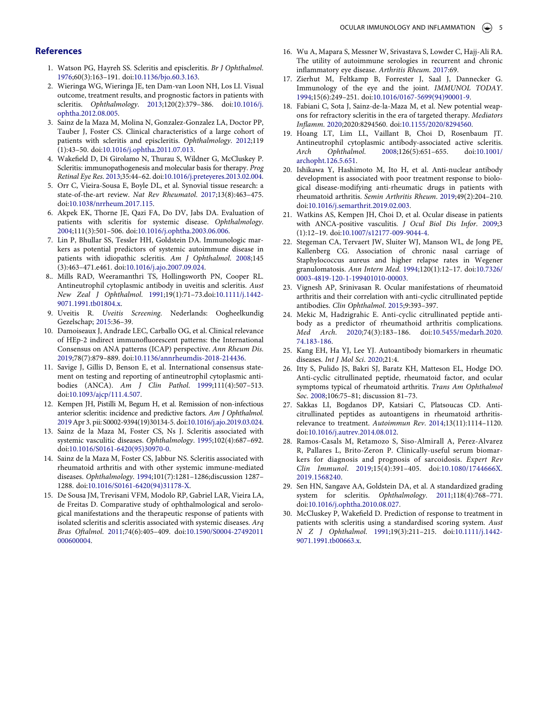#### **References**

- <span id="page-5-0"></span>1. Watson PG, Hayreh SS. Scleritis and episcleritis. *Br J Ophthalmol*. [1976;](#page-1-1)60(3):163–191. doi:[10.1136/bjo.60.3.163](https://doi.org/10.1136/bjo.60.3.163).
- <span id="page-5-5"></span>2. Wieringa WG, Wieringa JE, ten Dam-van Loon NH, Los LI. Visual outcome, treatment results, and prognostic factors in patients with scleritis. *Ophthalmology*. [2013;](#page-3-1)120(2):379–386. doi:[10.1016/j.](https://doi.org/10.1016/j.ophtha.2012.08.005) [ophtha.2012.08.005](https://doi.org/10.1016/j.ophtha.2012.08.005).
- 3. Sainz de la Maza M, Molina N, Gonzalez-Gonzalez LA, Doctor PP, Tauber J, Foster CS. Clinical characteristics of a large cohort of patients with scleritis and episcleritis. *Ophthalmology*. 2012;119 (1):43–50. doi:[10.1016/j.ophtha.2011.07.013](https://doi.org/10.1016/j.ophtha.2011.07.013).
- <span id="page-5-1"></span>4. Wakefield D, Di Girolamo N, Thurau S, Wildner G, McCluskey P. Scleritis: immunopathogenesis and molecular basis for therapy. *Prog Retinal Eye Res*. [2013;](#page-1-2)35:44–62. doi:[10.1016/j.preteyeres.2013.02.004](https://doi.org/10.1016/j.preteyeres.2013.02.004).
- 5. Orr C, Vieira-Sousa E, Boyle DL, et al. Synovial tissue research: a state-of-the-art review. *Nat Rev Rheumatol*. 2017;13(8):463–475. doi:[10.1038/nrrheum.2017.115.](https://doi.org/10.1038/nrrheum.2017.115)
- <span id="page-5-10"></span>6. Akpek EK, Thorne JE, Qazi FA, Do DV, Jabs DA. Evaluation of patients with scleritis for systemic disease. *Ophthalmology*. [2004;](#page-3-2)111(3):501–506. doi:[10.1016/j.ophtha.2003.06.006](https://doi.org/10.1016/j.ophtha.2003.06.006).
- <span id="page-5-11"></span>7. Lin P, Bhullar SS, Tessler HH, Goldstein DA. Immunologic markers as potential predictors of systemic autoimmune disease in patients with idiopathic scleritis. *Am J Ophthalmol*. [2008;](#page-3-2)145 (3):463–471.e461. doi:[10.1016/j.ajo.2007.09.024](https://doi.org/10.1016/j.ajo.2007.09.024).
- 8.. Mills RAD, Weeramanthri TS, Hollingsworth PN, Cooper RL. Antineutrophil cytoplasmic antibody in uveitis and scleritis. *Aust New Zeal J Ophthalmol*. 1991;19(1):71–73.doi:[10.1111/j.1442-](https://doi.org/10.1111/j.1442-9071.1991.tb01804.x) [9071.1991.tb01804.x](https://doi.org/10.1111/j.1442-9071.1991.tb01804.x).
- <span id="page-5-2"></span>9. Uveitis R. *Uveitis Screening*. Nederlands: Oogheelkundig Gezelschap; [2015:](#page-1-3)36–39.
- <span id="page-5-3"></span>10. Damoiseaux J, Andrade LEC, Carballo OG, et al. Clinical relevance of HEp-2 indirect immunofluorescent patterns: the International Consensus on ANA patterns (ICAP) perspective. *Ann Rheum Dis*. [2019;](#page-2-1)78(7):879–889. doi:[10.1136/annrheumdis-2018-214436.](https://doi.org/10.1136/annrheumdis-2018-214436)
- <span id="page-5-4"></span>11. Savige J, Gillis D, Benson E, et al. International consensus statement on testing and reporting of antineutrophil cytoplasmic antibodies (ANCA). *Am J Clin Pathol*. [1999](#page-2-2);111(4):507–513. doi:[10.1093/ajcp/111.4.507.](https://doi.org/10.1093/ajcp/111.4.507)
- <span id="page-5-6"></span>12. Kempen JH, Pistilli M, Begum H, et al. Remission of non-infectious anterior scleritis: incidence and predictive factors. *Am J Ophthalmol*. [2019](#page-3-1) Apr 3. pii: S0002-9394(19)30134-5. doi:[10.1016/j.ajo.2019.03.024](https://doi.org/10.1016/j.ajo.2019.03.024).
- <span id="page-5-7"></span>13. Sainz de la Maza M, Foster CS, Ns J. Scleritis associated with systemic vasculitic diseases. *Ophthalmology*. [1995](#page-3-3);102(4):687–692. doi:[10.1016/S0161-6420\(95\)30970-0.](https://doi.org/10.1016/S0161-6420(95)30970-0)
- <span id="page-5-8"></span>14. Sainz de la Maza M, Foster CS, Jabbur NS. Scleritis associated with rheumatoid arthritis and with other systemic immune-mediated diseases. *Ophthalmology*. [1994](#page-3-4);101(7):1281–1286;discussion 1287– 1288. doi:[10.1016/S0161-6420\(94\)31178-X](https://doi.org/10.1016/S0161-6420(94)31178-X).
- <span id="page-5-9"></span>15. De Sousa JM, Trevisani VFM, Modolo RP, Gabriel LAR, Vieira LA, de Freitas D. Comparative study of ophthalmological and serological manifestations and the therapeutic response of patients with isolated scleritis and scleritis associated with systemic diseases. *Arq Bras Oftalmol*. [2011](#page-3-4);74(6):405–409. doi:[10.1590/S0004-27492011](https://doi.org/10.1590/S0004-27492011000600004)  [000600004](https://doi.org/10.1590/S0004-27492011000600004).
- <span id="page-5-12"></span>16. Wu A, Mapara S, Messner W, Srivastava S, Lowder C, Hajj-Ali RA. The utility of autoimmune serologies in recurrent and chronic inflammatory eye disease. *Arthritis Rheum*. [2017](#page-3-2):69.
- <span id="page-5-13"></span>17. Zierhut M, Feltkamp B, Forrester J, Saal J, Dannecker G. Immunology of the eye and the joint. *IMMUNOL TODAY*. [1994;](#page-3-5)15(6):249–251. doi:[10.1016/0167-5699\(94\)90001-9](https://doi.org/10.1016/0167-5699(94)90001-9).
- 18. Fabiani C, Sota J, Sainz-de-la-Maza M, et al. New potential weapons for refractory scleritis in the era of targeted therapy. *Mediators Inflamm*. 2020;2020:8294560. doi:[10.1155/2020/8294560](https://doi.org/10.1155/2020/8294560).
- <span id="page-5-15"></span>19. Hoang LT, Lim LL, Vaillant B, Choi D, Rosenbaum JT. Antineutrophil cytoplasmic antibody-associated active scleritis. *Arch Ophthalmol*. [2008](#page-4-1);126(5):651–655. doi:[10.1001/](https://doi.org/10.1001/archopht.126.5.651)  [archopht.126.5.651.](https://doi.org/10.1001/archopht.126.5.651)
- <span id="page-5-14"></span>20. Ishikawa Y, Hashimoto M, Ito H, et al. Anti-nuclear antibody development is associated with poor treatment response to biological disease-modifying anti-rheumatic drugs in patients with rheumatoid arthritis. *Semin Arthritis Rheum*. [2019](#page-3-6);49(2):204–210. doi:[10.1016/j.semarthrit.2019.02.003](https://doi.org/10.1016/j.semarthrit.2019.02.003).
- <span id="page-5-16"></span>21. Watkins AS, Kempen JH, Choi D, et al. Ocular disease in patients with ANCA-positive vasculitis. *J Ocul Biol Dis Infor*. [2009](#page-4-1);3 (1):12–19. doi:[10.1007/s12177-009-9044-4.](https://doi.org/10.1007/s12177-009-9044-4)
- <span id="page-5-17"></span>22. Stegeman CA, Tervaert JW, Sluiter WJ, Manson WL, de Jong PE, Kallenberg CG. Association of chronic nasal carriage of Staphylococcus aureus and higher relapse rates in Wegener granulomatosis. *Ann Intern Med*. [1994](#page-4-1);120(1):12–17. doi:[10.7326/](https://doi.org/10.7326/0003-4819-120-1-199401010-00003)  [0003-4819-120-1-199401010-00003.](https://doi.org/10.7326/0003-4819-120-1-199401010-00003)
- <span id="page-5-18"></span>23. Vignesh AP, Srinivasan R. Ocular manifestations of rheumatoid arthritis and their correlation with anti-cyclic citrullinated peptide antibodies. *Clin Ophthalmol*. [2015](#page-4-2);9:393–397.
- 24. Mekic M, Hadzigrahic E. Anti-cyclic citrullinated peptide antibody as a predictor of rheumathoid arthritis complications. *Med Arch*. 2020;74(3):183–186. doi:[10.5455/medarh.2020.](https://doi.org/10.5455/medarh.2020.74.183-186) [74.183-186.](https://doi.org/10.5455/medarh.2020.74.183-186)
- 25. Kang EH, Ha YJ, Lee YJ. Autoantibody biomarkers in rheumatic diseases. *Int J Mol Sci*. 2020;21:4.
- <span id="page-5-19"></span>26. Itty S, Pulido JS, Bakri SJ, Baratz KH, Matteson EL, Hodge DO. Anti-cyclic citrullinated peptide, rheumatoid factor, and ocular symptoms typical of rheumatoid arthritis. *Trans Am Ophthalmol Soc*. [2008](#page-4-2);106:75–81; discussion 81–73.
- <span id="page-5-20"></span>27. Sakkas LI, Bogdanos DP, Katsiari C, Platsoucas CD. Anticitrullinated peptides as autoantigens in rheumatoid arthritisrelevance to treatment. *Autoimmun Rev*. [2014;](#page-4-3)13(11):1114–1120. doi:[10.1016/j.autrev.2014.08.012.](https://doi.org/10.1016/j.autrev.2014.08.012)
- <span id="page-5-21"></span>28. Ramos-Casals M, Retamozo S, Siso-Almirall A, Perez-Alvarez R, Pallares L, Brito-Zeron P. Clinically-useful serum biomarkers for diagnosis and prognosis of sarcoidosis. *Expert Rev Clin Immunol*. [2019;](#page-4-4)15(4):391–405. doi:[10.1080/1744666X.](https://doi.org/10.1080/1744666X.2019.1568240) [2019.1568240](https://doi.org/10.1080/1744666X.2019.1568240).
- <span id="page-5-22"></span>29. Sen HN, Sangave AA, Goldstein DA, et al. A standardized grading system for scleritis. *Ophthalmology*. [2011](#page-4-5);118(4):768–771. doi:[10.1016/j.ophtha.2010.08.027.](https://doi.org/10.1016/j.ophtha.2010.08.027)
- <span id="page-5-23"></span>30. McCluskey P, Wakefield D. Prediction of response to treatment in patients with scleritis using a standardised scoring system. *Aust N Z J Ophthalmol*. [1991](#page-4-5);19(3):211–215. doi:[10.1111/j.1442-](https://doi.org/10.1111/j.1442-9071.1991.tb00663.x)  [9071.1991.tb00663.x](https://doi.org/10.1111/j.1442-9071.1991.tb00663.x).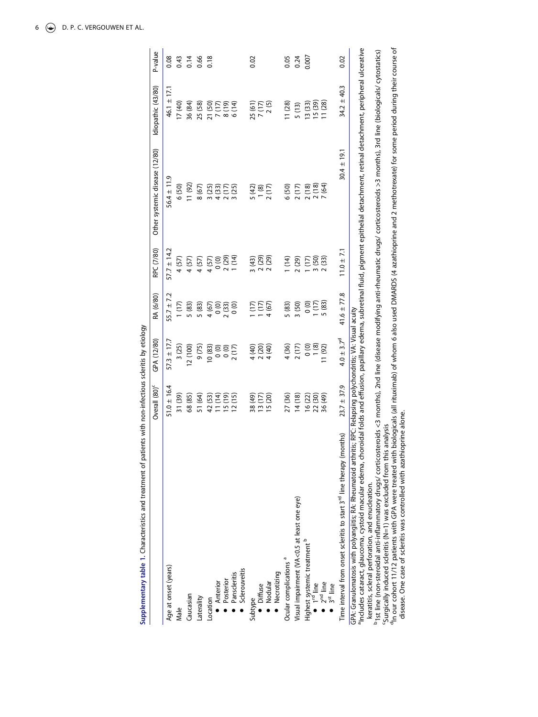|                                                                                                                                                                                                                                                                                                                                                                                                                                                                                                                                                                                                                                                            | Overall (80) <sup>c</sup> | GPA (12/80)                                    | RA (6/80)             | RPC (7/80)                                | Other systemic disease (12/80)                                                                                                    | Idiopathic (43/80) | P-value |
|------------------------------------------------------------------------------------------------------------------------------------------------------------------------------------------------------------------------------------------------------------------------------------------------------------------------------------------------------------------------------------------------------------------------------------------------------------------------------------------------------------------------------------------------------------------------------------------------------------------------------------------------------------|---------------------------|------------------------------------------------|-----------------------|-------------------------------------------|-----------------------------------------------------------------------------------------------------------------------------------|--------------------|---------|
| Age at onset (years)                                                                                                                                                                                                                                                                                                                                                                                                                                                                                                                                                                                                                                       | $51.0 \pm 16.4$           | $57.3 \pm 17.7$                                | $55.7 \pm 7.2$        | $57.7 \pm 14.2$                           | $56.4 \pm 11.9$                                                                                                                   | $46.1 \pm 17.1$    | 0.08    |
| Male                                                                                                                                                                                                                                                                                                                                                                                                                                                                                                                                                                                                                                                       | 31 (39)                   | 3(25)                                          | 1(17)                 | 4 (57)                                    | 6 (50)                                                                                                                            | 17(40)             | 0.43    |
| Caucasian                                                                                                                                                                                                                                                                                                                                                                                                                                                                                                                                                                                                                                                  | 68 (85)                   | 12(100)                                        | 5 (83)                | 4 (57)                                    | 11(92)                                                                                                                            | 36 (84)            | 0.14    |
| Laterality                                                                                                                                                                                                                                                                                                                                                                                                                                                                                                                                                                                                                                                 | 51 (64)                   | 9 (75)                                         | 5 (83)                | 4 (57)                                    | 8 (67)                                                                                                                            | 25 (58)            | 0.66    |
| Location                                                                                                                                                                                                                                                                                                                                                                                                                                                                                                                                                                                                                                                   | 42 (53)                   | 10(83)                                         | 4 (67)                | 4 (57)                                    | 3 (25)                                                                                                                            | 21 (50)            | 0.18    |
|                                                                                                                                                                                                                                                                                                                                                                                                                                                                                                                                                                                                                                                            | 11(14)                    |                                                | (0)                   |                                           | 4 (33)                                                                                                                            | 7(17)              |         |
|                                                                                                                                                                                                                                                                                                                                                                                                                                                                                                                                                                                                                                                            | $(61)$ 51                 | $\begin{matrix} 0 \\ 0 \\ 0 \\ 0 \end{matrix}$ | 2(33)                 | $0$ (0)<br>$2$ (29)<br>$1$ (14)           | 2(17)                                                                                                                             | (61)8              |         |
| Sclerouveitis<br>● Anterior<br>↑ Posterior<br>Panscleritis                                                                                                                                                                                                                                                                                                                                                                                                                                                                                                                                                                                                 | 12(15)                    | 2(17)                                          | $\overline{0}$        |                                           | 3 (25)                                                                                                                            | 6(14)              |         |
|                                                                                                                                                                                                                                                                                                                                                                                                                                                                                                                                                                                                                                                            | 38 (49)                   | 4 (40)                                         | (17)                  |                                           | 5(42)                                                                                                                             | 25 (61)            | 0.02    |
|                                                                                                                                                                                                                                                                                                                                                                                                                                                                                                                                                                                                                                                            |                           | 2(20)                                          | 1(17)                 |                                           | 1(8)                                                                                                                              | 7(17)              |         |
| Subtype<br>● Diffuse<br>● Nodular                                                                                                                                                                                                                                                                                                                                                                                                                                                                                                                                                                                                                          | $13(17)$<br>$15(20)$      | 4 (40)                                         | 4(67)                 | $\frac{3}{2}$ (43)<br>2 (29)<br>2 (29)    | 2(17)                                                                                                                             | 2(5)               |         |
| <b>Necrotizing</b>                                                                                                                                                                                                                                                                                                                                                                                                                                                                                                                                                                                                                                         |                           |                                                |                       |                                           |                                                                                                                                   |                    |         |
| Ocular complications <sup>a</sup>                                                                                                                                                                                                                                                                                                                                                                                                                                                                                                                                                                                                                          | 27 (36)                   | 4 (36)                                         | 5 (83)                | (14)                                      | 6 (50)                                                                                                                            | 11(28)             | 0.05    |
| Visual impairment (VA<0.5 at least one eye)                                                                                                                                                                                                                                                                                                                                                                                                                                                                                                                                                                                                                | 14(18)                    | 2(17)                                          | 3(50)                 | (29)                                      | 2(17)                                                                                                                             | 5(13)              | 0.24    |
|                                                                                                                                                                                                                                                                                                                                                                                                                                                                                                                                                                                                                                                            |                           | $0, 8$<br>$-1, 8$                              | $\overline{0}$        |                                           | 2(18)                                                                                                                             | 13 (33)            | 0.007   |
|                                                                                                                                                                                                                                                                                                                                                                                                                                                                                                                                                                                                                                                            | 16 (22)<br>22 (30)        |                                                | $\frac{1(17)}{5(83)}$ | $\frac{1}{3} \frac{(17)}{(50)}$<br>2 (33) | 2(18)                                                                                                                             | 15 (39)<br>11 (28) |         |
| Highest systemic treatment <sup>b</sup><br>• 1 <sup>rd</sup> line<br>• 2 <sup>nd</sup> line<br>• 3 <sup>st</sup> line                                                                                                                                                                                                                                                                                                                                                                                                                                                                                                                                      | 36 (49)                   | 11(92)                                         |                       |                                           | 7 (64)                                                                                                                            |                    |         |
| Time interval from onset scleritis to start 3 <sup>rd</sup> line therapy (months)                                                                                                                                                                                                                                                                                                                                                                                                                                                                                                                                                                          | $23.7 \pm 37.9$           | $4.0 \pm 3.7^d$                                | 41.6 $\pm$ 77.8       | $11.0 \pm 7.1$                            | $30.4 \pm 19.1$                                                                                                                   | $34.2 \pm 40.3$    | 0.02    |
| <sup>a</sup> ncludes cataract, glaucoma, cystoid macular edema, choroidal folds and effusion, papillary edema, subretinal fluid, pigment epithelial detachment, retinal detachment, peripheral ulcerative<br>1st line (non-steroidal anti-inflammatory drugs/ corticosteroids <3 months), 2nd line (disease modifying anti-rheumatic drugs/ corticosteroids >3 months), 3rd line (biologicals/ cytostatics)<br>GPA: Granulomatosis with polyangiitis; RA: Rheumatoid arthritis; RPC: Relapsing polychondritis; VA: Visual acuity<br>Surgically induced scleritis (N=1) was excluded from this analysis<br>keratitis, scleral perforation, and enucleation. |                           |                                                |                       |                                           |                                                                                                                                   |                    |         |
| disease. One case of scleritis was controlled with azathioprine alone.<br>In our cohort 11/12 patients with GPA were treated with                                                                                                                                                                                                                                                                                                                                                                                                                                                                                                                          |                           |                                                |                       |                                           | biologicals (all rituximab) of whom 6 also used DMARDS (4 azathioprine and 2 methotrexate) for some period during their course of |                    |         |

Supplementary table 1. Characteristics and treatment of patients with non-infectious scleritis by etiology **Supplementary table 1.** Characteristics and treatment of patients with non-infectious scleritis by etiology